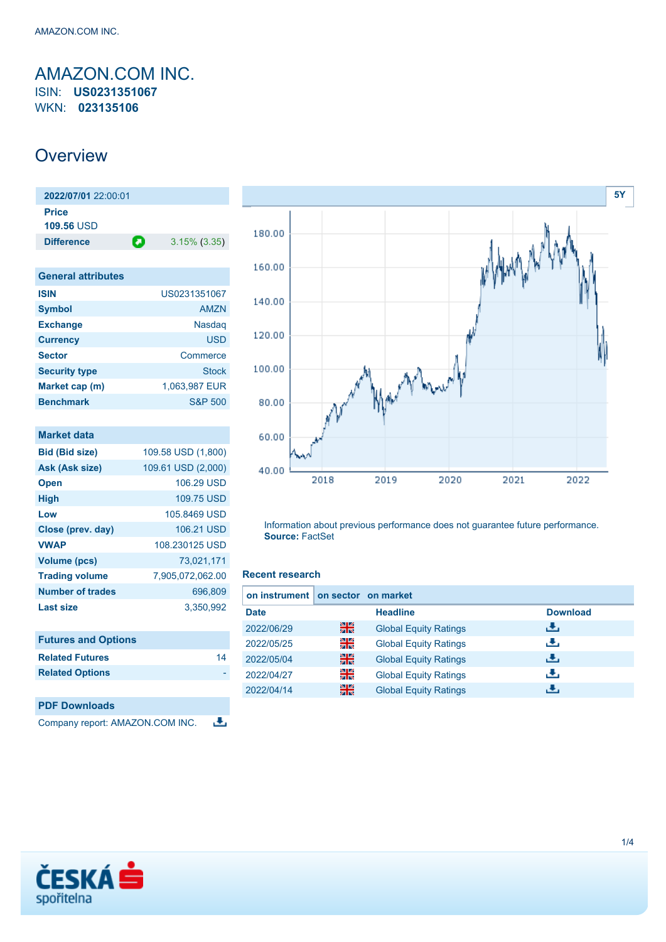## <span id="page-0-0"></span>AMAZON.COM INC. ISIN: **US0231351067** WKN: **023135106**

# **Overview**

| 2022/07/01 22:00:01 |                 |
|---------------------|-----------------|
|                     |                 |
| Œ                   | $3.15\%$ (3.35) |
|                     |                 |

| <b>General attributes</b> |                    |
|---------------------------|--------------------|
| <b>ISIN</b>               | US0231351067       |
| <b>Symbol</b>             | <b>AMZN</b>        |
| <b>Exchange</b>           | Nasdag             |
| <b>Currency</b>           | <b>USD</b>         |
| <b>Sector</b>             | Commerce           |
| <b>Security type</b>      | Stock              |
| Market cap (m)            | 1,063,987 EUR      |
| <b>Benchmark</b>          | <b>S&amp;P 500</b> |

| <b>Market data</b>         |                    |
|----------------------------|--------------------|
| <b>Bid (Bid size)</b>      | 109.58 USD (1,800) |
| Ask (Ask size)             | 109.61 USD (2,000) |
| <b>Open</b>                | 106.29 USD         |
| <b>High</b>                | 109.75 USD         |
| Low                        | 105,8469 USD       |
| Close (prev. day)          | 106.21 USD         |
| <b>VWAP</b>                | 108.230125 USD     |
| <b>Volume (pcs)</b>        | 73,021,171         |
| <b>Trading volume</b>      | 7,905,072,062.00   |
| Number of trades           | 696,809            |
| <b>Last size</b>           | 3,350,992          |
|                            |                    |
| <b>Futures and Options</b> |                    |
| <b>Related Futures</b>     | 14                 |
| <b>Related Options</b>     |                    |
|                            |                    |

| <b>PDF Downloads</b>            |
|---------------------------------|
| Company report: AMAZON.COM INC. |



Information about previous performance does not guarantee future performance. **Source:** FactSet

### **Recent research**

æ,

| on instrument on sector on market |    |                              |                 |
|-----------------------------------|----|------------------------------|-----------------|
| <b>Date</b>                       |    | <b>Headline</b>              | <b>Download</b> |
| 2022/06/29                        | 꾉쭍 | <b>Global Equity Ratings</b> | æ,              |
| 2022/05/25                        | 꾉뚢 | <b>Global Equity Ratings</b> | æ,              |
| 2022/05/04                        | 噐  | <b>Global Equity Ratings</b> | æ,              |
| 2022/04/27                        | 을  | <b>Global Equity Ratings</b> | æ,              |
| 2022/04/14                        | 噐  | <b>Global Equity Ratings</b> | J.              |

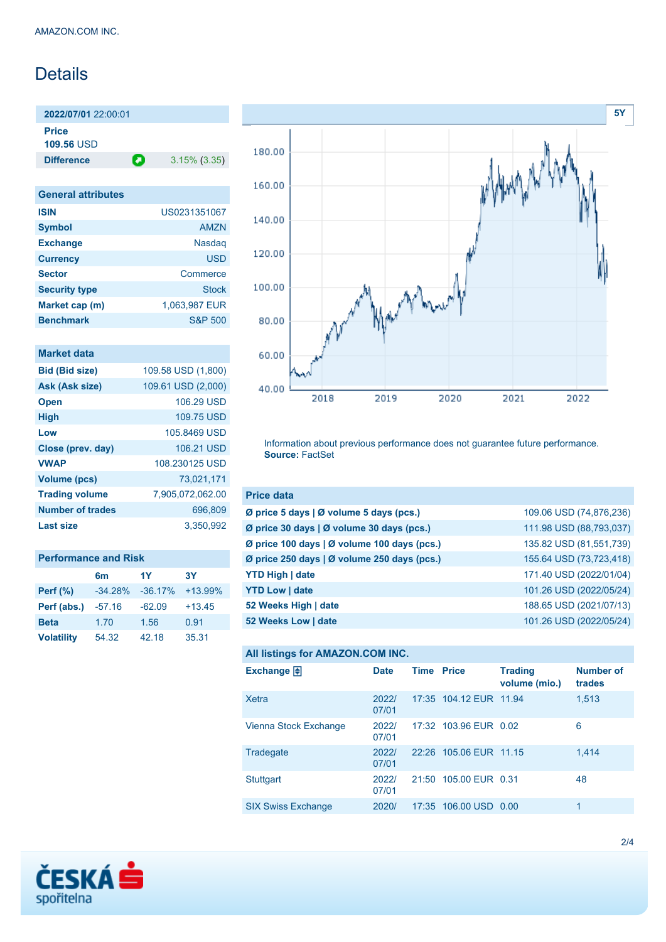# **Details**

**2022/07/01** 22:00:01 **Price**

**109.56** USD

**Difference a** 3.15% (3.35)

| <b>General attributes</b> |               |
|---------------------------|---------------|
| <b>ISIN</b>               | US0231351067  |
| <b>Symbol</b>             | AM7N          |
| <b>Exchange</b>           | <b>Nasdag</b> |
| <b>Currency</b>           | <b>USD</b>    |
| <b>Sector</b>             | Commerce      |
| <b>Security type</b>      | <b>Stock</b>  |
| Market cap (m)            | 1,063,987 EUR |
| <b>Benchmark</b>          | S&P 500       |

| Market data             |                    |
|-------------------------|--------------------|
| <b>Bid (Bid size)</b>   | 109.58 USD (1,800) |
| Ask (Ask size)          | 109.61 USD (2,000) |
| <b>Open</b>             | 106.29 USD         |
| <b>High</b>             | 109.75 USD         |
| Low                     | 105 8469 USD       |
| Close (prev. day)       | 106.21 USD         |
| <b>VWAP</b>             | 108 230125 USD     |
| <b>Volume (pcs)</b>     | 73.021.171         |
| <b>Trading volume</b>   | 7,905,072,062.00   |
| <b>Number of trades</b> | 696.809            |
| <b>Last size</b>        | 3.350.992          |

| <b>Performance and Risk</b> |                |           |           |  |  |
|-----------------------------|----------------|-----------|-----------|--|--|
|                             | 6 <sub>m</sub> | 1Y        | <b>3Y</b> |  |  |
| <b>Perf (%)</b>             | $-34.28%$      | $-36.17%$ | $+13.99%$ |  |  |
| Perf (abs.)                 | $-57.16$       | $-62.09$  | $+13.45$  |  |  |
| <b>Beta</b>                 | 1.70           | 1.56      | 0.91      |  |  |
| <b>Volatility</b>           | 54.32          | 42.18     | 35.31     |  |  |



Information about previous performance does not guarantee future performance. **Source:** FactSet

| <b>Price data</b>                                         |                         |
|-----------------------------------------------------------|-------------------------|
| $\emptyset$ price 5 days $\emptyset$ volume 5 days (pcs.) | 109.06 USD (74,876,236) |
| Ø price 30 days   Ø volume 30 days (pcs.)                 | 111.98 USD (88,793,037) |
| Ø price 100 days   Ø volume 100 days (pcs.)               | 135.82 USD (81,551,739) |
| Ø price 250 days   Ø volume 250 days (pcs.)               | 155.64 USD (73,723,418) |
| <b>YTD High   date</b>                                    | 171.40 USD (2022/01/04) |
| <b>YTD Low   date</b>                                     | 101.26 USD (2022/05/24) |
| 52 Weeks High   date                                      | 188.65 USD (2021/07/13) |
| 52 Weeks Low   date                                       | 101.26 USD (2022/05/24) |

### **All listings for AMAZON.COM INC.**

| <b>Date</b>    |  | <b>Trading</b><br>volume (mio.) | <b>Number of</b><br>trades                                                                                                  |
|----------------|--|---------------------------------|-----------------------------------------------------------------------------------------------------------------------------|
| 2022/<br>07/01 |  |                                 | 1,513                                                                                                                       |
| 2022/<br>07/01 |  |                                 | 6                                                                                                                           |
| 2022/<br>07/01 |  |                                 | 1.414                                                                                                                       |
| 2022/<br>07/01 |  |                                 | 48                                                                                                                          |
| 2020/          |  |                                 | 1                                                                                                                           |
|                |  | <b>Time Price</b>               | 17:35 104.12 EUR 11.94<br>17:32 103.96 EUR 0.02<br>22:26 105.06 EUR 11.15<br>21:50 105.00 EUR 0.31<br>17:35 106.00 USD 0.00 |

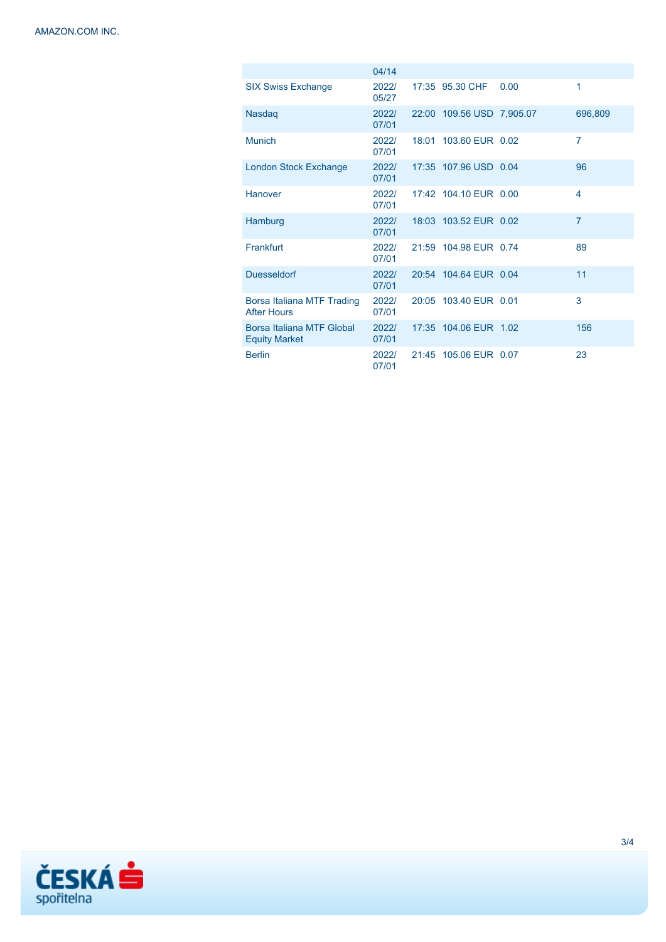|                                                   | 04/14          |                           |      |                         |
|---------------------------------------------------|----------------|---------------------------|------|-------------------------|
| <b>SIX Swiss Exchange</b>                         | 2022/<br>05/27 | 17:35 95.30 CHF           | 0.00 | 1                       |
| <b>Nasdaq</b>                                     | 2022/<br>07/01 | 22:00 109.56 USD 7,905.07 |      | 696,809                 |
| <b>Munich</b>                                     | 2022/<br>07/01 | 18:01 103.60 EUR 0.02     |      | $\overline{7}$          |
| London Stock Exchange                             | 2022/<br>07/01 | 17:35 107.96 USD 0.04     |      | 96                      |
| Hanover                                           | 2022/<br>07/01 | 17:42 104.10 EUR 0.00     |      | $\overline{\mathbf{4}}$ |
| Hamburg                                           | 2022/<br>07/01 | 18:03 103.52 EUR 0.02     |      | $\overline{7}$          |
| Frankfurt                                         | 2022/<br>07/01 | 21:59 104.98 EUR 0.74     |      | 89                      |
| <b>Duesseldorf</b>                                | 2022/<br>07/01 | 20:54 104.64 EUR 0.04     |      | 11                      |
| Borsa Italiana MTF Trading<br><b>After Hours</b>  | 2022/<br>07/01 | 20:05 103.40 EUR 0.01     |      | 3                       |
| Borsa Italiana MTF Global<br><b>Equity Market</b> | 2022/<br>07/01 | 17:35 104.06 EUR 1.02     |      | 156                     |
| <b>Berlin</b>                                     | 2022/<br>07/01 | 21:45 105.06 EUR 0.07     |      | 23                      |